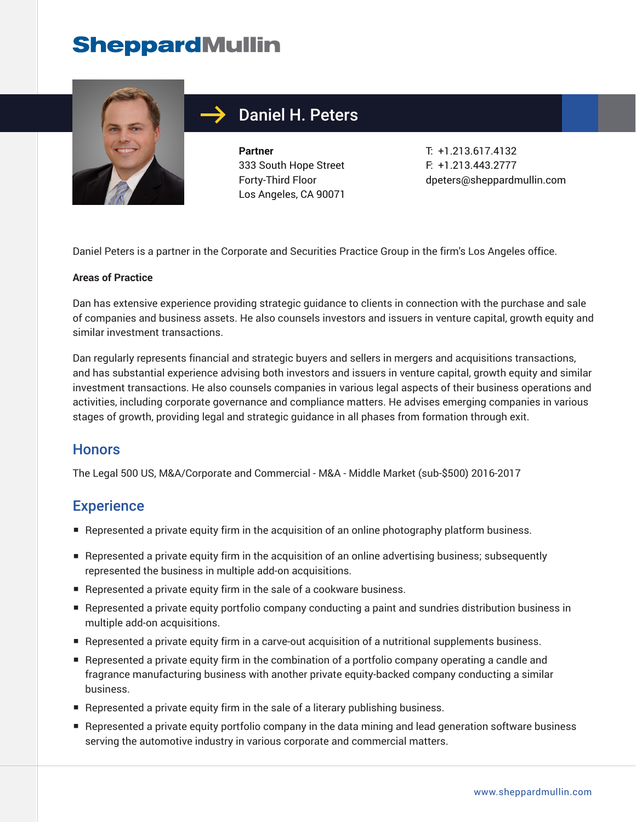

### Daniel H. Peters

**Partner** 333 South Hope Street Forty-Third Floor Los Angeles, CA 90071

T: +1.213.617.4132 F: +1.213.443.2777 dpeters@sheppardmullin.com

Daniel Peters is a partner in the Corporate and Securities Practice Group in the firm's Los Angeles office.

#### **Areas of Practice**

Dan has extensive experience providing strategic guidance to clients in connection with the purchase and sale of companies and business assets. He also counsels investors and issuers in venture capital, growth equity and similar investment transactions.

Dan regularly represents financial and strategic buyers and sellers in mergers and acquisitions transactions, and has substantial experience advising both investors and issuers in venture capital, growth equity and similar investment transactions. He also counsels companies in various legal aspects of their business operations and activities, including corporate governance and compliance matters. He advises emerging companies in various stages of growth, providing legal and strategic guidance in all phases from formation through exit.

#### **Honors**

The Legal 500 US, M&A/Corporate and Commercial - M&A - Middle Market (sub-\$500) 2016-2017

#### **Experience**

- Represented a private equity firm in the acquisition of an online photography platform business.
- Represented a private equity firm in the acquisition of an online advertising business; subsequently represented the business in multiple add-on acquisitions.
- Represented a private equity firm in the sale of a cookware business.
- Represented a private equity portfolio company conducting a paint and sundries distribution business in multiple add-on acquisitions.
- Represented a private equity firm in a carve-out acquisition of a nutritional supplements business.
- Represented a private equity firm in the combination of a portfolio company operating a candle and fragrance manufacturing business with another private equity-backed company conducting a similar business.
- Represented a private equity firm in the sale of a literary publishing business.
- Represented a private equity portfolio company in the data mining and lead generation software business serving the automotive industry in various corporate and commercial matters.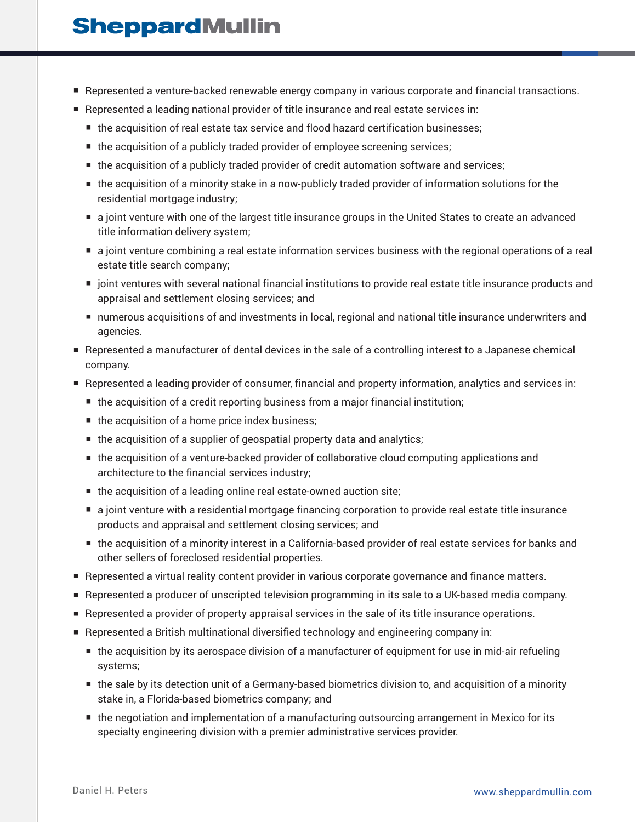- Represented a venture-backed renewable energy company in various corporate and financial transactions.
- Represented a leading national provider of title insurance and real estate services in:
	- the acquisition of real estate tax service and flood hazard certification businesses;
	- the acquisition of a publicly traded provider of employee screening services;
	- the acquisition of a publicly traded provider of credit automation software and services;
	- the acquisition of a minority stake in a now-publicly traded provider of information solutions for the residential mortgage industry;
	- a joint venture with one of the largest title insurance groups in the United States to create an advanced title information delivery system;
	- a joint venture combining a real estate information services business with the regional operations of a real estate title search company;
	- joint ventures with several national financial institutions to provide real estate title insurance products and appraisal and settlement closing services; and
	- numerous acquisitions of and investments in local, regional and national title insurance underwriters and agencies.
- Represented a manufacturer of dental devices in the sale of a controlling interest to a Japanese chemical company.
- Represented a leading provider of consumer, financial and property information, analytics and services in:
	- the acquisition of a credit reporting business from a major financial institution;
	- the acquisition of a home price index business;
	- the acquisition of a supplier of geospatial property data and analytics;
	- the acquisition of a venture-backed provider of collaborative cloud computing applications and architecture to the financial services industry;
	- the acquisition of a leading online real estate-owned auction site;
	- a joint venture with a residential mortgage financing corporation to provide real estate title insurance products and appraisal and settlement closing services; and
	- the acquisition of a minority interest in a California-based provider of real estate services for banks and other sellers of foreclosed residential properties.
- Represented a virtual reality content provider in various corporate governance and finance matters.
- Represented a producer of unscripted television programming in its sale to a UK-based media company.
- Represented a provider of property appraisal services in the sale of its title insurance operations.
- Represented a British multinational diversified technology and engineering company in:
	- the acquisition by its aerospace division of a manufacturer of equipment for use in mid-air refueling systems;
	- the sale by its detection unit of a Germany-based biometrics division to, and acquisition of a minority stake in, a Florida-based biometrics company; and
	- the negotiation and implementation of a manufacturing outsourcing arrangement in Mexico for its specialty engineering division with a premier administrative services provider.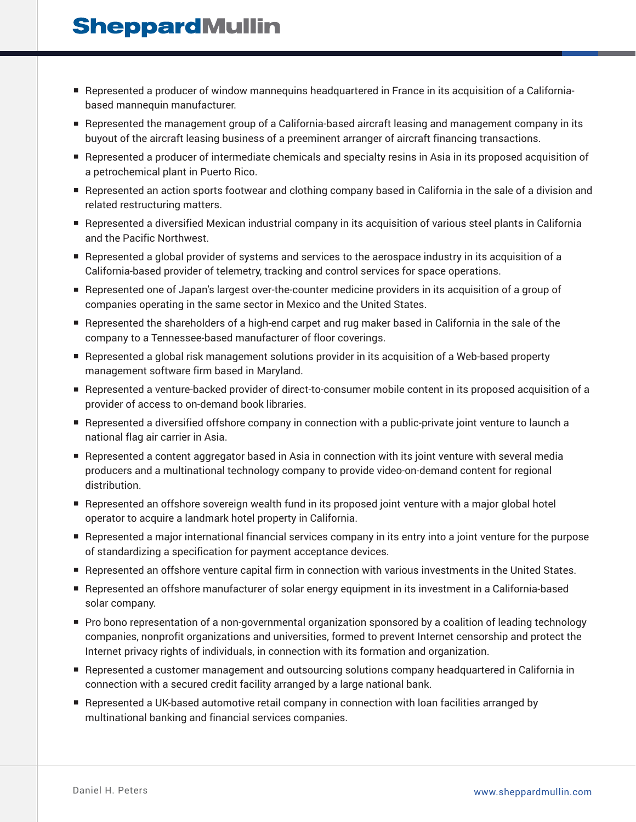- Represented a producer of window mannequins headquartered in France in its acquisition of a Californiabased mannequin manufacturer.
- Represented the management group of a California-based aircraft leasing and management company in its buyout of the aircraft leasing business of a preeminent arranger of aircraft financing transactions.
- Represented a producer of intermediate chemicals and specialty resins in Asia in its proposed acquisition of a petrochemical plant in Puerto Rico.
- Represented an action sports footwear and clothing company based in California in the sale of a division and related restructuring matters.
- Represented a diversified Mexican industrial company in its acquisition of various steel plants in California and the Pacific Northwest.
- Represented a global provider of systems and services to the aerospace industry in its acquisition of a California-based provider of telemetry, tracking and control services for space operations.
- Represented one of Japan's largest over-the-counter medicine providers in its acquisition of a group of companies operating in the same sector in Mexico and the United States.
- Represented the shareholders of a high-end carpet and rug maker based in California in the sale of the company to a Tennessee-based manufacturer of floor coverings.
- Represented a global risk management solutions provider in its acquisition of a Web-based property management software firm based in Maryland.
- Represented a venture-backed provider of direct-to-consumer mobile content in its proposed acquisition of a provider of access to on-demand book libraries.
- Represented a diversified offshore company in connection with a public-private joint venture to launch a national flag air carrier in Asia.
- Represented a content aggregator based in Asia in connection with its joint venture with several media producers and a multinational technology company to provide video-on-demand content for regional distribution.
- Represented an offshore sovereign wealth fund in its proposed joint venture with a major global hotel operator to acquire a landmark hotel property in California.
- Represented a major international financial services company in its entry into a joint venture for the purpose of standardizing a specification for payment acceptance devices.
- Represented an offshore venture capital firm in connection with various investments in the United States.
- Represented an offshore manufacturer of solar energy equipment in its investment in a California-based solar company.
- Pro bono representation of a non-governmental organization sponsored by a coalition of leading technology companies, nonprofit organizations and universities, formed to prevent Internet censorship and protect the Internet privacy rights of individuals, in connection with its formation and organization.
- Represented a customer management and outsourcing solutions company headquartered in California in connection with a secured credit facility arranged by a large national bank.
- Represented a UK-based automotive retail company in connection with loan facilities arranged by multinational banking and financial services companies.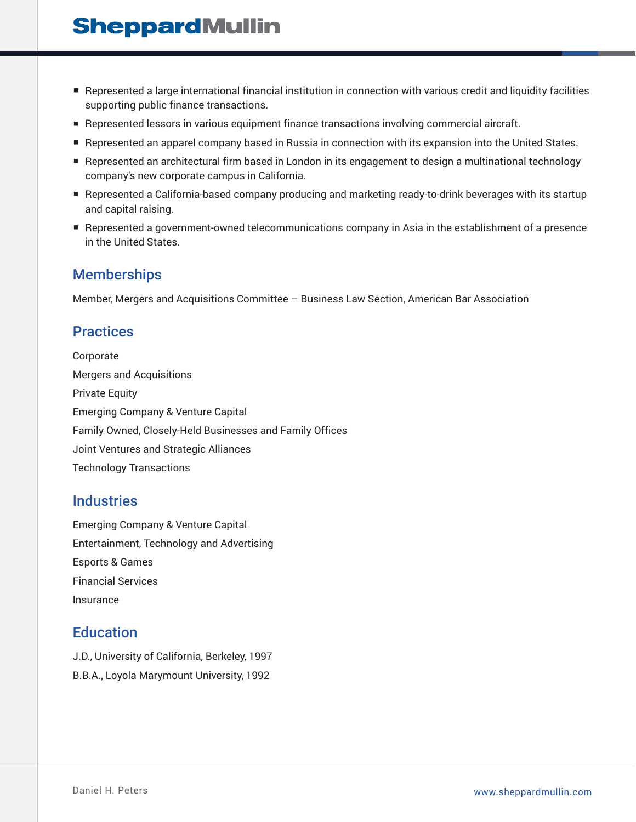- Represented a large international financial institution in connection with various credit and liquidity facilities supporting public finance transactions.
- Represented lessors in various equipment finance transactions involving commercial aircraft.
- Represented an apparel company based in Russia in connection with its expansion into the United States.
- Represented an architectural firm based in London in its engagement to design a multinational technology company's new corporate campus in California.
- Represented a California-based company producing and marketing ready-to-drink beverages with its startup and capital raising.
- Represented a government-owned telecommunications company in Asia in the establishment of a presence in the United States.

### **Memberships**

Member, Mergers and Acquisitions Committee – Business Law Section, American Bar Association

#### **Practices**

Corporate Mergers and Acquisitions Private Equity Emerging Company & Venture Capital Family Owned, Closely-Held Businesses and Family Offices Joint Ventures and Strategic Alliances Technology Transactions

#### **Industries**

Emerging Company & Venture Capital Entertainment, Technology and Advertising Esports & Games Financial Services Insurance

### **Education**

J.D., University of California, Berkeley, 1997 B.B.A., Loyola Marymount University, 1992